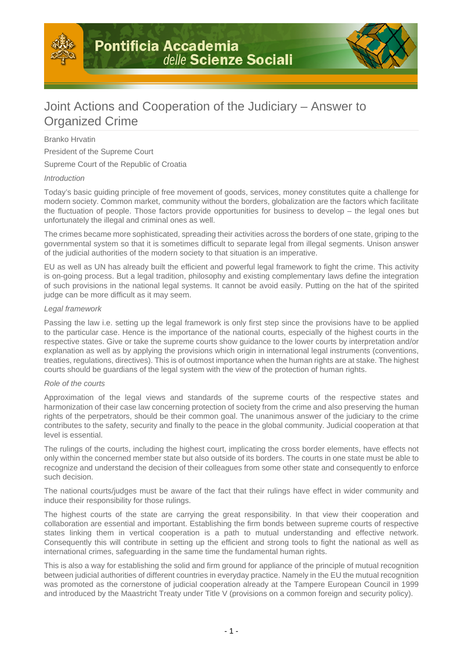

# Joint Actions and Cooperation of the Judiciary – Answer to Organized Crime

## Branko Hrvatin

President of the Supreme Court

Supreme Court of the Republic of Croatia

### Introduction

Today's basic guiding principle of free movement of goods, services, money constitutes quite a challenge for modern society. Common market, community without the borders, globalization are the factors which facilitate the fluctuation of people. Those factors provide opportunities for business to develop – the legal ones but unfortunately the illegal and criminal ones as well.

The crimes became more sophisticated, spreading their activities across the borders of one state, griping to the governmental system so that it is sometimes difficult to separate legal from illegal segments. Unison answer of the judicial authorities of the modern society to that situation is an imperative.

EU as well as UN has already built the efficient and powerful legal framework to fight the crime. This activity is on-going process. But a legal tradition, philosophy and existing complementary laws define the integration of such provisions in the national legal systems. It cannot be avoid easily. Putting on the hat of the spirited judge can be more difficult as it may seem.

### Legal framework

Passing the law i.e. setting up the legal framework is only first step since the provisions have to be applied to the particular case. Hence is the importance of the national courts, especially of the highest courts in the respective states. Give or take the supreme courts show guidance to the lower courts by interpretation and/or explanation as well as by applying the provisions which origin in international legal instruments (conventions, treaties, regulations, directives). This is of outmost importance when the human rights are at stake. The highest courts should be guardians of the legal system with the view of the protection of human rights.

### Role of the courts

Approximation of the legal views and standards of the supreme courts of the respective states and harmonization of their case law concerning protection of society from the crime and also preserving the human rights of the perpetrators, should be their common goal. The unanimous answer of the judiciary to the crime contributes to the safety, security and finally to the peace in the global community. Judicial cooperation at that level is essential.

The rulings of the courts, including the highest court, implicating the cross border elements, have effects not only within the concerned member state but also outside of its borders. The courts in one state must be able to recognize and understand the decision of their colleagues from some other state and consequently to enforce such decision.

The national courts/judges must be aware of the fact that their rulings have effect in wider community and induce their responsibility for those rulings.

The highest courts of the state are carrying the great responsibility. In that view their cooperation and collaboration are essential and important. Establishing the firm bonds between supreme courts of respective states linking them in vertical cooperation is a path to mutual understanding and effective network. Consequently this will contribute in setting up the efficient and strong tools to fight the national as well as international crimes, safeguarding in the same time the fundamental human rights.

This is also a way for establishing the solid and firm ground for appliance of the principle of mutual recognition between judicial authorities of different countries in everyday practice. Namely in the EU the mutual recognition was promoted as the cornerstone of judicial cooperation already at the Tampere European Council in 1999 and introduced by the Maastricht Treaty under Title V (provisions on a common foreign and security policy).